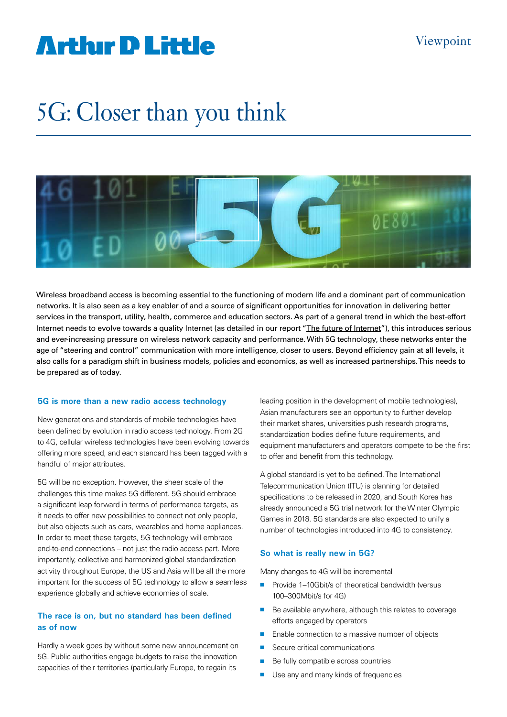# **Artlur D Little**

# 5G: Closer than you think



Wireless broadband access is becoming essential to the functioning of modern life and a dominant part of communication networks. It is also seen as a key enabler of and a source of significant opportunities for innovation in delivering better services in the transport, utility, health, commerce and education sectors. As part of a general trend in which the best-effort Internet needs to evolve towards a quality Internet (as detailed in our report ["The future of Internet](http://www.adl.com/futureoftheinternet)"), this introduces serious and ever-increasing pressure on wireless network capacity and performance. With 5G technology, these networks enter the age of "steering and control" communication with more intelligence, closer to users. Beyond efficiency gain at all levels, it also calls for a paradigm shift in business models, policies and economics, as well as increased partnerships. This needs to be prepared as of today.

#### **5G is more than a new radio access technology**

New generations and standards of mobile technologies have been defined by evolution in radio access technology. From 2G to 4G, cellular wireless technologies have been evolving towards offering more speed, and each standard has been tagged with a handful of major attributes.

5G will be no exception. However, the sheer scale of the challenges this time makes 5G different. 5G should embrace a significant leap forward in terms of performance targets, as it needs to offer new possibilities to connect not only people, but also objects such as cars, wearables and home appliances. In order to meet these targets, 5G technology will embrace end-to-end connections – not just the radio access part. More importantly, collective and harmonized global standardization activity throughout Europe, the US and Asia will be all the more important for the success of 5G technology to allow a seamless experience globally and achieve economies of scale.

# **The race is on, but no standard has been defined as of now**

Hardly a week goes by without some new announcement on 5G. Public authorities engage budgets to raise the innovation capacities of their territories (particularly Europe, to regain its

leading position in the development of mobile technologies), Asian manufacturers see an opportunity to further develop their market shares, universities push research programs, standardization bodies define future requirements, and equipment manufacturers and operators compete to be the first to offer and benefit from this technology.

A global standard is yet to be defined. The International Telecommunication Union (ITU) is planning for detailed specifications to be released in 2020, and South Korea has already announced a 5G trial network for the Winter Olympic Games in 2018. 5G standards are also expected to unify a number of technologies introduced into 4G to consistency.

## **So what is really new in 5G?**

Many changes to 4G will be incremental

- $\blacksquare$  Provide 1–10Gbit/s of theoretical bandwidth (versus 100–300Mbit/s for 4G)
- Be available anywhere, although this relates to coverage efforts engaged by operators
- $\blacksquare$  Enable connection to a massive number of objects
- Secure critical communications
- $\blacksquare$  Be fully compatible across countries
- **n** Use any and many kinds of frequencies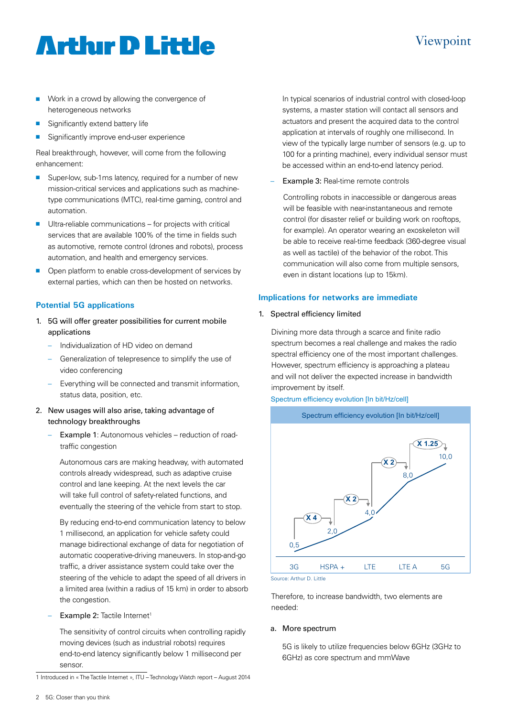# **Arthur D Little**

# Viewpoint

- $\blacksquare$  Work in a crowd by allowing the convergence of heterogeneous networks
- $\blacksquare$  Significantly extend battery life
- Significantly improve end-user experience

Real breakthrough, however, will come from the following enhancement:

- Super-low, sub-1ms latency, required for a number of new mission-critical services and applications such as machinetype communications (MTC), real-time gaming, control and automation.
- $\blacksquare$  Ultra-reliable communications for projects with critical services that are available 100% of the time in fields such as automotive, remote control (drones and robots), process automation, and health and emergency services.
- **n** Open platform to enable cross-development of services by external parties, which can then be hosted on networks.

# **Potential 5G applications**

- 1. 5G will offer greater possibilities for current mobile applications
	- Individualization of HD video on demand
	- Generalization of telepresence to simplify the use of video conferencing
	- Everything will be connected and transmit information, status data, position, etc.
- 2. New usages will also arise, taking advantage of technology breakthroughs
	- Example 1: Autonomous vehicles reduction of roadtraffic congestion

Autonomous cars are making headway, with automated controls already widespread, such as adaptive cruise control and lane keeping. At the next levels the car will take full control of safety-related functions, and eventually the steering of the vehicle from start to stop.

By reducing end-to-end communication latency to below 1 millisecond, an application for vehicle safety could manage bidirectional exchange of data for negotiation of automatic cooperative-driving maneuvers. In stop-and-go traffic, a driver assistance system could take over the steering of the vehicle to adapt the speed of all drivers in a limited area (within a radius of 15 km) in order to absorb the congestion.

Example 2: Tactile Internet<sup>1</sup>

The sensitivity of control circuits when controlling rapidly moving devices (such as industrial robots) requires end-to-end latency significantly below 1 millisecond per sensor.

1 Introduced in « The Tactile Internet », ITU – Technology Watch report – August 2014

In typical scenarios of industrial control with closed-loop systems, a master station will contact all sensors and actuators and present the acquired data to the control application at intervals of roughly one millisecond. In view of the typically large number of sensors (e.g. up to 100 for a printing machine), every individual sensor must be accessed within an end-to-end latency period.

Example 3: Real-time remote controls

Controlling robots in inaccessible or dangerous areas will be feasible with near-instantaneous and remote control (for disaster relief or building work on rooftops, for example). An operator wearing an exoskeleton will be able to receive real-time feedback (360-degree visual as well as tactile) of the behavior of the robot. This communication will also come from multiple sensors, even in distant locations (up to 15km).

## **Implications for networks are immediate**

1. Spectral efficiency limited

Divining more data through a scarce and finite radio spectrum becomes a real challenge and makes the radio spectral efficiency one of the most important challenges. However, spectrum efficiency is approaching a plateau and will not deliver the expected increase in bandwidth improvement by itself.

## Spectrum efficiency evolution [In bit/Hz/cell]



Source: Arthur D. Little

Therefore, to increase bandwidth, two elements are needed:

## a. More spectrum

5G is likely to utilize frequencies below 6GHz (3GHz to 6GHz) as core spectrum and mmWave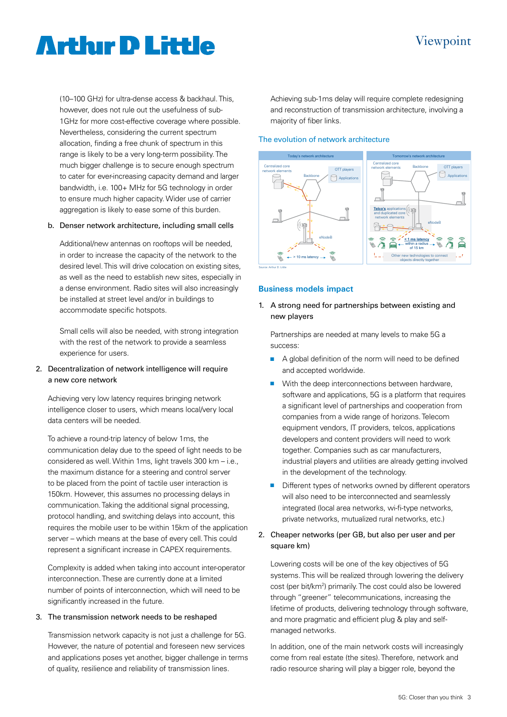# Viewpoint

# **Arthur D Little**

(10–100 GHz) for ultra-dense access & backhaul. This, however, does not rule out the usefulness of sub-1GHz for more cost-effective coverage where possible. Nevertheless, considering the current spectrum allocation, finding a free chunk of spectrum in this range is likely to be a very long-term possibility. The much bigger challenge is to secure enough spectrum to cater for ever-increasing capacity demand and larger bandwidth, i.e. 100+ MHz for 5G technology in order to ensure much higher capacity. Wider use of carrier aggregation is likely to ease some of this burden.

#### b. Denser network architecture, including small cells

Additional/new antennas on rooftops will be needed, in order to increase the capacity of the network to the desired level. This will drive colocation on existing sites, as well as the need to establish new sites, especially in a dense environment. Radio sites will also increasingly be installed at street level and/or in buildings to accommodate specific hotspots.

Small cells will also be needed, with strong integration with the rest of the network to provide a seamless experience for users.

# 2. Decentralization of network intelligence will require a new core network

Achieving very low latency requires bringing network intelligence closer to users, which means local/very local data centers will be needed.

To achieve a round-trip latency of below 1ms, the communication delay due to the speed of light needs to be considered as well. Within 1ms, light travels 300 km – i.e., the maximum distance for a steering and control server to be placed from the point of tactile user interaction is 150km. However, this assumes no processing delays in communication. Taking the additional signal processing, protocol handling, and switching delays into account, this requires the mobile user to be within 15km of the application server – which means at the base of every cell. This could represent a significant increase in CAPEX requirements.

Complexity is added when taking into account inter-operator interconnection. These are currently done at a limited number of points of interconnection, which will need to be significantly increased in the future.

#### 3. The transmission network needs to be reshaped

Transmission network capacity is not just a challenge for 5G. However, the nature of potential and foreseen new services and applications poses yet another, bigger challenge in terms of quality, resilience and reliability of transmission lines.

Achieving sub-1ms delay will require complete redesigning and reconstruction of transmission architecture, involving a majority of fiber links.

#### The evolution of network architecture



#### **Business models impact**

1. A strong need for partnerships between existing and new players

Partnerships are needed at many levels to make 5G a success:

- $\blacksquare$  A global definition of the norm will need to be defined and accepted worldwide.
- $\blacksquare$  With the deep interconnections between hardware, software and applications, 5G is a platform that requires a significant level of partnerships and cooperation from companies from a wide range of horizons. Telecom equipment vendors, IT providers, telcos, applications developers and content providers will need to work together. Companies such as car manufacturers, industrial players and utilities are already getting involved in the development of the technology.
- Different types of networks owned by different operators will also need to be interconnected and seamlessly integrated (local area networks, wi-fi-type networks, private networks, mutualized rural networks, etc.)

## 2. Cheaper networks (per GB, but also per user and per square km)

Lowering costs will be one of the key objectives of 5G systems. This will be realized through lowering the delivery cost (per bit/km<sup>2</sup>) primarily. The cost could also be lowered through "greener" telecommunications, increasing the lifetime of products, delivering technology through software, and more pragmatic and efficient plug & play and selfmanaged networks.

In addition, one of the main network costs will increasingly come from real estate (the sites). Therefore, network and radio resource sharing will play a bigger role, beyond the